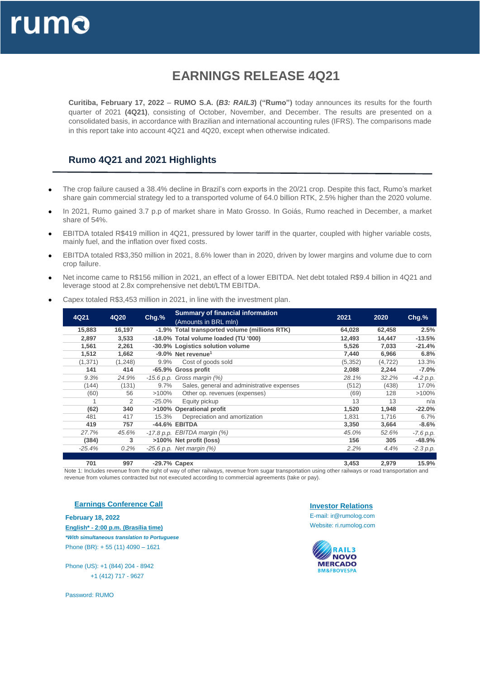

# **EARNINGS RELEASE 4Q21**

**Curitiba, February 17, 2022** – **RUMO S.A. (***B3: RAIL3***) ("Rumo")** today announces its results for the fourth quarter of 2021 **(4Q21)**, consisting of October, November, and December. The results are presented on a consolidated basis, in accordance with Brazilian and international accounting rules (IFRS). The comparisons made in this report take into account 4Q21 and 4Q20, except when otherwise indicated.

#### **Rumo 4Q21 and 2021 Highlights**

- The crop failure caused a 38.4% decline in Brazil's corn exports in the 20/21 crop. Despite this fact, Rumo's market share gain commercial strategy led to a transported volume of 64.0 billion RTK, 2.5% higher than the 2020 volume.
- In 2021, Rumo gained 3.7 p.p of market share in Mato Grosso. In Goiás, Rumo reached in December, a market share of 54%.
- EBITDA totaled R\$419 million in 4Q21, pressured by lower tariff in the quarter, coupled with higher variable costs, mainly fuel, and the inflation over fixed costs.
- EBITDA totaled R\$3,350 million in 2021, 8.6% lower than in 2020, driven by lower margins and volume due to corn crop failure.
- Net income came to R\$156 million in 2021, an effect of a lower EBITDA. Net debt totaled R\$9.4 billion in 4Q21 and leverage stood at 2.8x comprehensive net debt/LTM EBITDA.
- Capex totaled R\$3,453 million in 2021, in line with the investment plan.

| 4Q21     | 4Q20    | $Chg.$ % | <b>Summary of financial information</b>       | 2021     | 2020     | $Chg.$ %    |
|----------|---------|----------|-----------------------------------------------|----------|----------|-------------|
|          |         |          | (Amounts in BRL mln)                          |          |          |             |
| 15,883   | 16,197  |          | -1.9% Total transported volume (millions RTK) | 64,028   | 62,458   | 2.5%        |
| 2,897    | 3,533   |          | -18.0% Total volume loaded (TU '000)          | 12,493   | 14,447   | $-13.5%$    |
| 1,561    | 2,261   |          | -30.9% Logistics solution volume              | 5,526    | 7,033    | $-21.4%$    |
| 1,512    | 1,662   |          | $-9.0\%$ Net revenue <sup>1</sup>             | 7,440    | 6,966    | 6.8%        |
| (1, 371) | (1,248) | $9.9\%$  | Cost of goods sold                            | (5, 352) | (4, 722) | 13.3%       |
| 141      | 414     |          | -65.9% Gross profit                           | 2,088    | 2,244    | $-7.0%$     |
| 9.3%     | 24.9%   |          | $-15.6$ p.p. Gross margin $(%)$               | 28.1%    | 32.2%    | $-4.2 p.p.$ |
| (144)    | (131)   | $9.7\%$  | Sales, general and administrative expenses    | (512)    | (438)    | 17.0%       |
| (60)     | 56      | $>100\%$ | Other op. revenues (expenses)                 | (69)     | 128      | >100%       |
|          | 2       | -25.0%   | Equity pickup                                 | 13       | 13       | n/a         |
| (62)     | 340     |          | >100% Operational profit                      | 1,520    | 1,948    | $-22.0%$    |
| 481      | 417     | 15.3%    | Depreciation and amortization                 | 1,831    | 1.716    | 6.7%        |
| 419      | 757     |          | -44.6% EBITDA                                 | 3,350    | 3,664    | $-8.6%$     |
| 27.7%    | 45.6%   |          | $-17.8$ p.p. EBITDA margin $(%)$              | 45.0%    | 52.6%    | $-7.6 p.p.$ |
| (384)    | 3       |          | >100% Net profit (loss)                       | 156      | 305      | $-48.9%$    |
| $-25.4%$ | 0.2%    |          | $-25.6$ p.p. Net margin $(\%)$                | 2.2%     | 4.4%     | $-2.3 p.p.$ |
|          |         |          |                                               |          |          |             |

**701 997 -29.7% Capex 3,453 2,979 15.9%**

Note 1: Includes revenue from the right of way of other railways, revenue from sugar transportation using other railways or road transportation and revenue from volumes contracted but not executed according to commercial agreements (take or pay).

#### **Earnings Conference Call**

**February 18, 2022 English\* - 2:00 p.m. (Brasília time)** *\*With simultaneous translation to Portuguese* Phone (BR): + 55 (11) 4090 – 1621

Phone (US): +1 (844) 204 - 8942 +1 (412) 717 - 9627

Password: RUMO

**Investor Relations**

E-mail: ir@rumolog.com Website: ri.rumolog.com

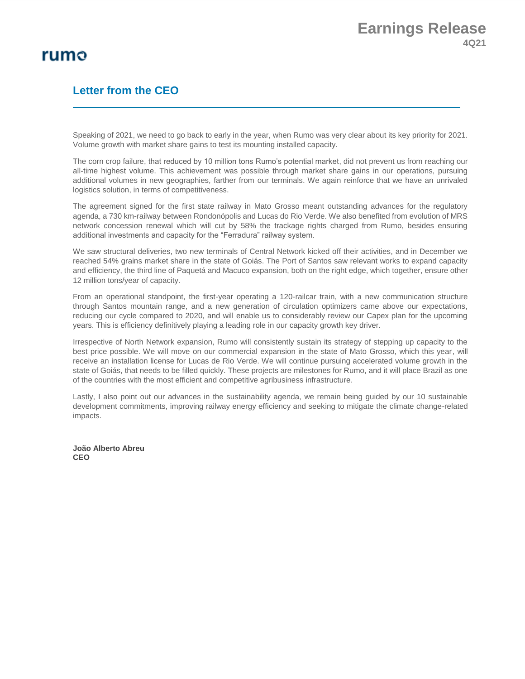#### **Letter from the CEO**

Speaking of 2021, we need to go back to early in the year, when Rumo was very clear about its key priority for 2021. Volume growth with market share gains to test its mounting installed capacity.

The corn crop failure, that reduced by 10 million tons Rumo's potential market, did not prevent us from reaching our all-time highest volume. This achievement was possible through market share gains in our operations, pursuing additional volumes in new geographies, farther from our terminals. We again reinforce that we have an unrivaled logistics solution, in terms of competitiveness.

The agreement signed for the first state railway in Mato Grosso meant outstanding advances for the regulatory agenda, a 730 km-railway between Rondonópolis and Lucas do Rio Verde. We also benefited from evolution of MRS network concession renewal which will cut by 58% the trackage rights charged from Rumo, besides ensuring additional investments and capacity for the "Ferradura" railway system.

We saw structural deliveries, two new terminals of Central Network kicked off their activities, and in December we reached 54% grains market share in the state of Goiás. The Port of Santos saw relevant works to expand capacity and efficiency, the third line of Paquetá and Macuco expansion, both on the right edge, which together, ensure other 12 million tons/year of capacity.

From an operational standpoint, the first-year operating a 120-railcar train, with a new communication structure through Santos mountain range, and a new generation of circulation optimizers came above our expectations, reducing our cycle compared to 2020, and will enable us to considerably review our Capex plan for the upcoming years. This is efficiency definitively playing a leading role in our capacity growth key driver.

Irrespective of North Network expansion, Rumo will consistently sustain its strategy of stepping up capacity to the best price possible. We will move on our commercial expansion in the state of Mato Grosso, which this year, will receive an installation license for Lucas de Rio Verde. We will continue pursuing accelerated volume growth in the state of Goiás, that needs to be filled quickly. These projects are milestones for Rumo, and it will place Brazil as one of the countries with the most efficient and competitive agribusiness infrastructure.

Lastly, I also point out our advances in the sustainability agenda, we remain being guided by our 10 sustainable development commitments, improving railway energy efficiency and seeking to mitigate the climate change-related impacts.

**João Alberto Abreu CEO**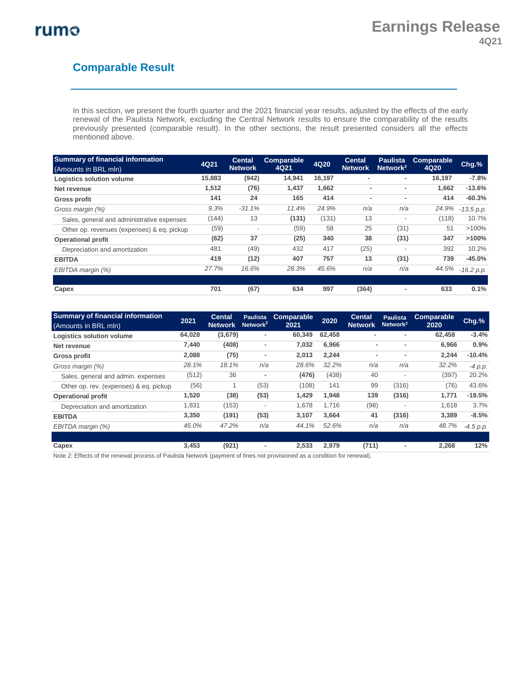## **Comparable Result**

In this section, we present the fourth quarter and the 2021 financial year results, adjusted by the effects of the early renewal of the Paulista Network, excluding the Central Network results to ensure the comparability of the results previously presented (comparable result). In the other sections, the result presented considers all the effects mentioned above.

| <b>Summary of financial information</b>    | 4Q21   | <b>Cental</b>  | <b>Comparable</b> | 4Q20   | <b>Cental</b>  | <b>Paulista</b>          | Comparable | Chg.%        |
|--------------------------------------------|--------|----------------|-------------------|--------|----------------|--------------------------|------------|--------------|
| (Amounts in BRL mln)                       |        | <b>Network</b> | 4Q21              |        | <b>Network</b> | Network <sup>2</sup>     | 4Q20       |              |
| <b>Logistics solution volume</b>           | 15,883 | (942)          | 14,941            | 16,197 | ۰              | ٠                        | 16,197     | $-7.8%$      |
| Net revenue                                | 1,512  | (76)           | 1,437             | 1,662  | $\overline{a}$ | $\overline{\phantom{a}}$ | 1,662      | $-13.6%$     |
| Gross profit                               | 141    | 24             | 165               | 414    | $\overline{a}$ | $\overline{\phantom{a}}$ | 414        | $-60.3%$     |
| Gross margin (%)                           | 9.3%   | $-31.1%$       | 11.4%             | 24.9%  | n/a            | n/a                      | 24.9%      | -13.5 p.p.   |
| Sales, general and administrative expenses | (144)  | 13             | (131)             | (131)  | 13             | $\overline{\phantom{a}}$ | (118)      | 10.7%        |
| Other op. revenues (expenses) & eq. pickup | (59)   |                | (59)              | 58     | 25             | (31)                     | 51         | $>100\%$     |
| <b>Operational profit</b>                  | (62)   | 37             | (25)              | 340    | 38             | (31)                     | 347        | >100%        |
| Depreciation and amortization              | 481    | (49)           | 432               | 417    | (25)           | $\overline{\phantom{a}}$ | 392        | 10.2%        |
| <b>EBITDA</b>                              | 419    | (12)           | 407               | 757    | 13             | (31)                     | 739        | $-45.0%$     |
| EBITDA margin (%)                          | 27.7%  | 16.6%          | 28.3%             | 45.6%  | n/a            | n/a                      | 44.5%      | $-16.2 p.p.$ |
|                                            |        |                |                   |        |                |                          |            |              |
| Capex                                      | 701    | (67)           | 634               | 997    | (364)          | $\overline{\phantom{a}}$ | 633        | 0.1%         |

| <b>Summary of financial information</b><br>(Amounts in BRL mln) | 2021   | <b>Cental</b><br><b>Network</b> | <b>Paulista</b><br>Network $2$ | Comparable<br>2021 | 2020   | <b>Cental</b><br><b>Network</b> | <b>Paulista</b><br>Network <sup>2</sup> | <b>Comparable</b><br>2020 | $Chg.$ %    |
|-----------------------------------------------------------------|--------|---------------------------------|--------------------------------|--------------------|--------|---------------------------------|-----------------------------------------|---------------------------|-------------|
| <b>Logistics solution volume</b>                                | 64,028 | (3,679)                         | ٠                              | 60,349             | 62.458 | ۰                               | $\overline{\phantom{a}}$                | 62,458                    | $-3.4%$     |
| Net revenue                                                     | 7.440  | (408)                           | ٠                              | 7,032              | 6.966  | ۰                               |                                         | 6.966                     | 0.9%        |
| Gross profit                                                    | 2,088  | (75)                            | ٠                              | 2,013              | 2,244  | $\blacksquare$                  | $\overline{\phantom{a}}$                | 2,244                     | $-10.4%$    |
| Gross margin (%)                                                | 28.1%  | 18.1%                           | n/a                            | 28.6%              | 32.2%  | n/a                             | n/a                                     | 32.2%                     | $-4 p.p.$   |
| Sales, general and admin. expenses                              | (512)  | 36                              | ٠                              | (476)              | (438)  | 40                              | $\overline{\phantom{a}}$                | (397)                     | 20.2%       |
| Other op. rev. (expenses) & eq. pickup                          | (56)   |                                 | (53)                           | (108)              | 141    | 99                              | (316)                                   | (76)                      | 43.6%       |
| <b>Operational profit</b>                                       | 1,520  | (38)                            | (53)                           | 1,429              | 1,948  | 139                             | (316)                                   | 1,771                     | $-19.5%$    |
| Depreciation and amortization                                   | 1,831  | (153)                           | $\overline{\phantom{a}}$       | 1,678              | 1.716  | (98)                            | $\overline{\phantom{a}}$                | 1.618                     | 3.7%        |
| <b>EBITDA</b>                                                   | 3,350  | (191)                           | (53)                           | 3,107              | 3,664  | 41                              | (316)                                   | 3,389                     | $-8.5%$     |
| EBITDA margin (%)                                               | 45.0%  | 47.2%                           | n/a                            | 44.1%              | 52.6%  | n/a                             | n/a                                     | 48.7%                     | $-4.5 p.p.$ |
|                                                                 |        |                                 |                                |                    |        |                                 |                                         |                           |             |
| Capex                                                           | 3,453  | (921)                           | ٠                              | 2,533              | 2,979  | (711)                           | ۰                                       | 2,268                     | 12%         |

Note 2: Effects of the renewal process of Paulista Network (payment of fines not provisioned as a condition for renewal).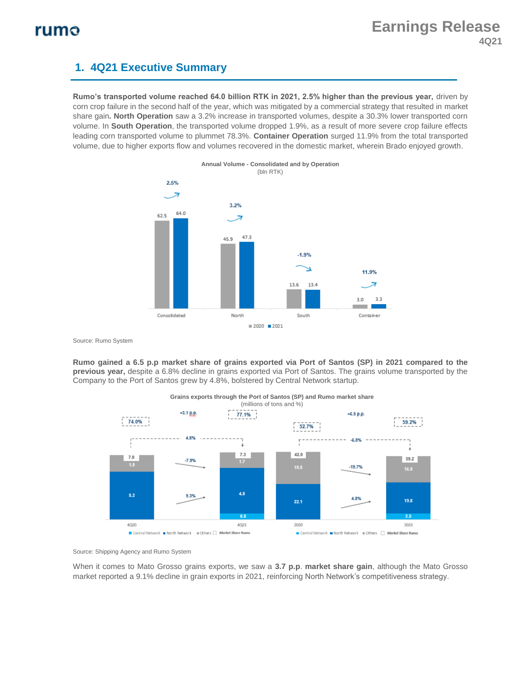### **1. 4Q21 Executive Summary**

**Rumo's transported volume reached 64.0 billion RTK in 2021, 2.5% higher than the previous year,** driven by corn crop failure in the second half of the year, which was mitigated by a commercial strategy that resulted in market share gain**. North Operation** saw a 3.2% increase in transported volumes, despite a 30.3% lower transported corn volume. In **South Operation**, the transported volume dropped 1.9%, as a result of more severe crop failure effects leading corn transported volume to plummet 78.3%. **Container Operation** surged 11.9% from the total transported volume, due to higher exports flow and volumes recovered in the domestic market, wherein Brado enjoyed growth.



Source: Rumo System

**Rumo gained a 6.5 p.p market share of grains exported via Port of Santos (SP) in 2021 compared to the previous year,** despite a 6.8% decline in grains exported via Port of Santos. The grains volume transported by the Company to the Port of Santos grew by 4.8%, bolstered by Central Network startup.



#### **Grains exports through the Port of Santos (SP) and Rumo market share** (millions of tons and %)

Source: Shipping Agency and Rumo System

When it comes to Mato Grosso grains exports, we saw a **3.7 p.p**. **market share gain**, although the Mato Grosso market reported a 9.1% decline in grain exports in 2021, reinforcing North Network's competitiveness strategy.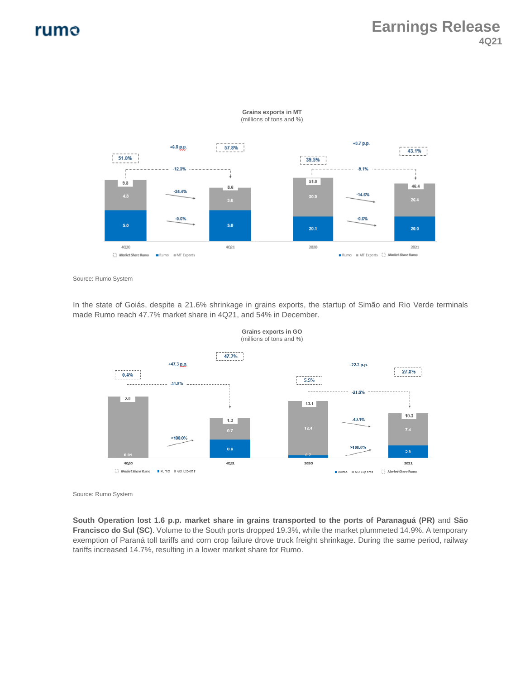

**Grains exports in MT** (millions of tons and %)

Source: Rumo System

In the state of Goiás, despite a 21.6% shrinkage in grains exports, the startup of Simão and Rio Verde terminals made Rumo reach 47.7% market share in 4Q21, and 54% in December.



**Grains exports in GO**

Source: Rumo System

**South Operation lost 1.6 p.p. market share in grains transported to the ports of Paranaguá (PR)** and **São Francisco do Sul (SC)**. Volume to the South ports dropped 19.3%, while the market plummeted 14.9%. A temporary exemption of Paraná toll tariffs and corn crop failure drove truck freight shrinkage. During the same period, railway tariffs increased 14.7%, resulting in a lower market share for Rumo.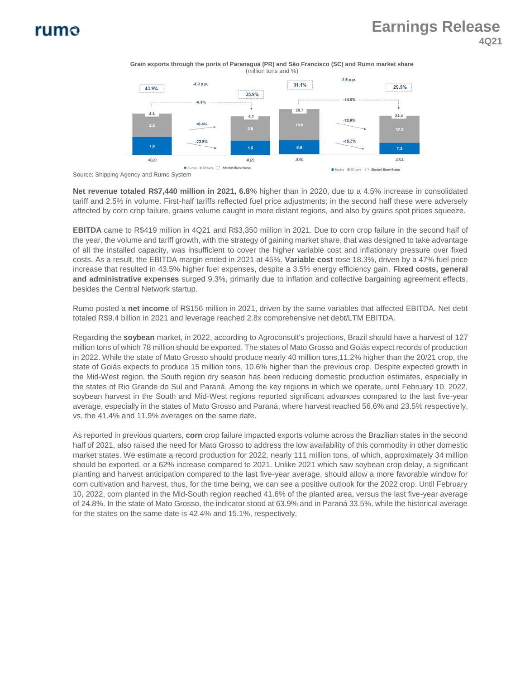## **Earnings Release 4Q21**

**Grain exports through the ports of Paranaguá (PR) and São Francisco (SC) and Rumo market share** (million tons and %)



Source: Shipping Agency and Rumo System

**Net revenue totaled R\$7,440 million in 2021, 6.8**% higher than in 2020, due to a 4.5% increase in consolidated tariff and 2.5% in volume. First-half tariffs reflected fuel price adjustments; in the second half these were adversely affected by corn crop failure, grains volume caught in more distant regions, and also by grains spot prices squeeze.

**EBITDA** came to R\$419 million in 4Q21 and R\$3,350 million in 2021. Due to corn crop failure in the second half of the year, the volume and tariff growth, with the strategy of gaining market share, that was designed to take advantage of all the installed capacity, was insufficient to cover the higher variable cost and inflationary pressure over fixed costs. As a result, the EBITDA margin ended in 2021 at 45%. **Variable cost** rose 18.3%, driven by a 47% fuel price increase that resulted in 43.5% higher fuel expenses, despite a 3.5% energy efficiency gain. **Fixed costs, general and administrative expenses** surged 9.3%, primarily due to inflation and collective bargaining agreement effects, besides the Central Network startup.

Rumo posted a **net income** of R\$156 million in 2021, driven by the same variables that affected EBITDA. Net debt totaled R\$9.4 billion in 2021 and leverage reached 2.8x comprehensive net debt/LTM EBITDA.

Regarding the **soybean** market, in 2022, according to Agroconsult's projections, Brazil should have a harvest of 127 million tons of which 78 million should be exported. The states of Mato Grosso and Goiás expect records of production in 2022. While the state of Mato Grosso should produce nearly 40 million tons,11.2% higher than the 20/21 crop, the state of Goiás expects to produce 15 million tons, 10.6% higher than the previous crop. Despite expected growth in the Mid-West region, the South region dry season has been reducing domestic production estimates, especially in the states of Rio Grande do Sul and Paraná. Among the key regions in which we operate, until February 10, 2022, soybean harvest in the South and Mid-West regions reported significant advances compared to the last five-year average, especially in the states of Mato Grosso and Paraná, where harvest reached 56.6% and 23.5% respectively, vs. the 41.4% and 11.9% averages on the same date.

As reported in previous quarters, **corn** crop failure impacted exports volume across the Brazilian states in the second half of 2021, also raised the need for Mato Grosso to address the low availability of this commodity in other domestic market states. We estimate a record production for 2022, nearly 111 million tons, of which, approximately 34 million should be exported, or a 62% increase compared to 2021. Unlike 2021 which saw soybean crop delay, a significant planting and harvest anticipation compared to the last five-year average, should allow a more favorable window for corn cultivation and harvest, thus, for the time being, we can see a positive outlook for the 2022 crop. Until February 10, 2022, corn planted in the Mid-South region reached 41.6% of the planted area, versus the last five-year average of 24.8%. In the state of Mato Grosso, the indicator stood at 63.9% and in Paraná 33.5%, while the historical average for the states on the same date is 42.4% and 15.1%, respectively.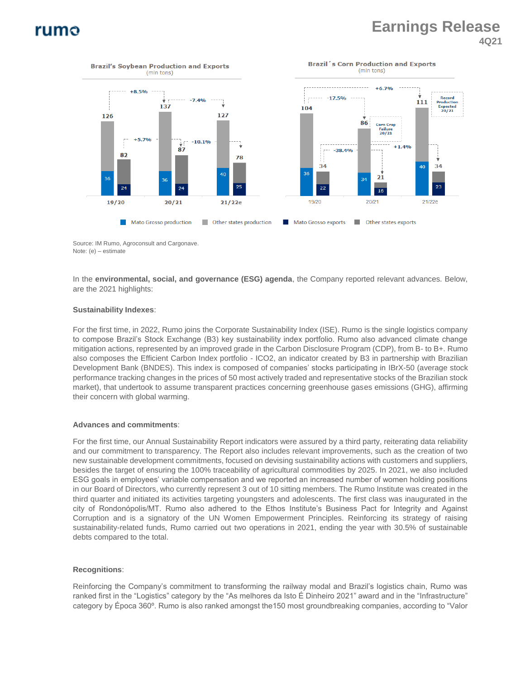## **Earnings Release 4Q21**



Source: IM Rumo, Agroconsult and Cargonave. Note: (e) – estimate

In the **environmental, social, and governance (ESG) agenda**, the Company reported relevant advances. Below, are the 2021 highlights:

#### **Sustainability Indexes**:

For the first time, in 2022, Rumo joins the Corporate Sustainability Index (ISE). Rumo is the single logistics company to compose Brazil's Stock Exchange (B3) key sustainability index portfolio. Rumo also advanced climate change mitigation actions, represented by an improved grade in the Carbon Disclosure Program (CDP), from B- to B+. Rumo also composes the Efficient Carbon Index portfolio - ICO2, an indicator created by B3 in partnership with Brazilian Development Bank (BNDES). This index is composed of companies' stocks participating in IBrX-50 (average stock performance tracking changes in the prices of 50 most actively traded and representative stocks of the Brazilian stock market), that undertook to assume transparent practices concerning greenhouse gases emissions (GHG), affirming their concern with global warming.

#### **Advances and commitments**:

For the first time, our Annual Sustainability Report indicators were assured by a third party, reiterating data reliability and our commitment to transparency. The Report also includes relevant improvements, such as the creation of two new sustainable development commitments, focused on devising sustainability actions with customers and suppliers, besides the target of ensuring the 100% traceability of agricultural commodities by 2025. In 2021, we also included ESG goals in employees' variable compensation and we reported an increased number of women holding positions in our Board of Directors, who currently represent 3 out of 10 sitting members. The Rumo Institute was created in the third quarter and initiated its activities targeting youngsters and adolescents. The first class was inaugurated in the city of Rondonópolis/MT. Rumo also adhered to the Ethos Institute's Business Pact for Integrity and Against Corruption and is a signatory of the UN Women Empowerment Principles. Reinforcing its strategy of raising sustainability-related funds, Rumo carried out two operations in 2021, ending the year with 30.5% of sustainable debts compared to the total.

#### **Recognitions**:

Reinforcing the Company's commitment to transforming the railway modal and Brazil's logistics chain, Rumo was ranked first in the "Logistics" category by the "As melhores da Isto É Dinheiro 2021" award and in the "Infrastructure" category by Época 360º. Rumo is also ranked amongst the150 most groundbreaking companies, according to "Valor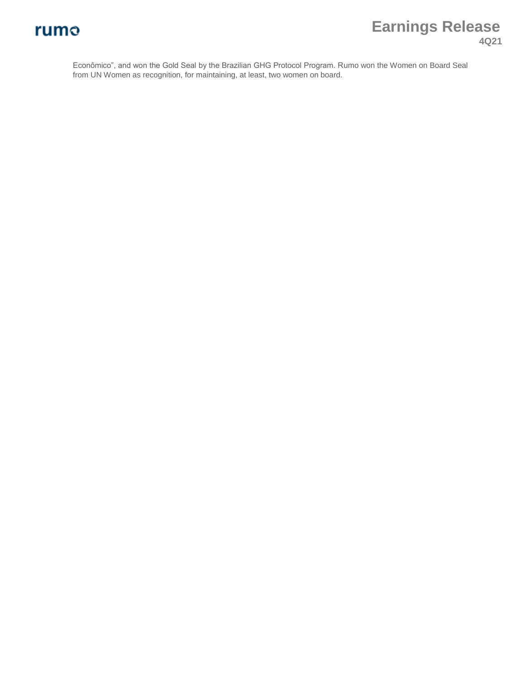# **Earnings Release 4Q21**

Econômico", and won the Gold Seal by the Brazilian GHG Protocol Program. Rumo won the Women on Board Seal from UN Women as recognition, for maintaining, at least, two women on board.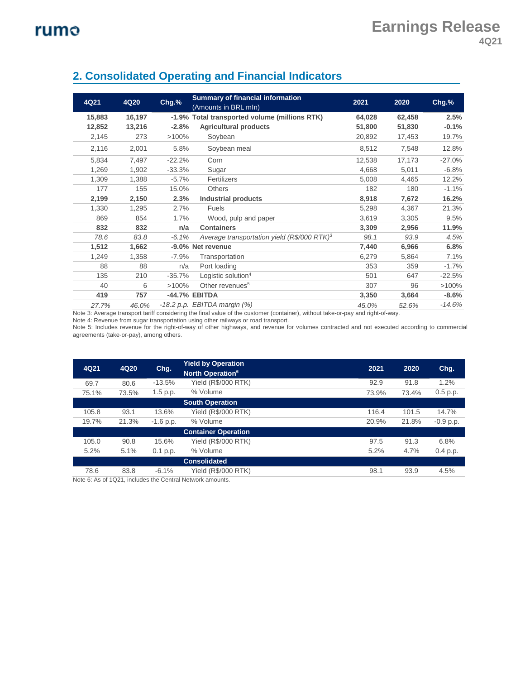| 4Q21   | 4Q20   | $Chg.$ % | <b>Summary of financial information</b><br>(Amounts in BRL mln) | 2021   | 2020   | $Chg.$ % |
|--------|--------|----------|-----------------------------------------------------------------|--------|--------|----------|
| 15,883 | 16,197 |          | -1.9% Total transported volume (millions RTK)                   | 64,028 | 62,458 | 2.5%     |
| 12,852 | 13,216 | $-2.8%$  | <b>Agricultural products</b>                                    | 51,800 | 51,830 | $-0.1%$  |
| 2,145  | 273    | $>100\%$ | Soybean                                                         | 20,892 | 17,453 | 19.7%    |
| 2,116  | 2,001  | 5.8%     | Soybean meal                                                    | 8,512  | 7,548  | 12.8%    |
| 5,834  | 7,497  | $-22.2%$ | Corn                                                            | 12,538 | 17,173 | $-27.0%$ |
| 1,269  | 1,902  | $-33.3%$ | Sugar                                                           | 4,668  | 5,011  | $-6.8%$  |
| 1,309  | 1,388  | $-5.7%$  | Fertilizers                                                     | 5,008  | 4,465  | 12.2%    |
| 177    | 155    | 15.0%    | <b>Others</b>                                                   | 182    | 180    | $-1.1%$  |
| 2,199  | 2,150  | 2.3%     | <b>Industrial products</b>                                      | 8,918  | 7,672  | 16.2%    |
| 1,330  | 1,295  | 2.7%     | <b>Fuels</b>                                                    | 5,298  | 4,367  | 21.3%    |
| 869    | 854    | 1.7%     | Wood, pulp and paper                                            | 3,619  | 3,305  | 9.5%     |
| 832    | 832    | n/a      | <b>Containers</b>                                               | 3,309  | 2,956  | 11.9%    |
| 78.6   | 83.8   | $-6.1%$  | Average transportation yield (R\$/000 RTK) <sup>3</sup>         | 98.1   | 93.9   | 4.5%     |
| 1,512  | 1,662  |          | -9.0% Net revenue                                               | 7,440  | 6,966  | 6.8%     |
| 1,249  | 1,358  | $-7.9%$  | Transportation                                                  | 6,279  | 5,864  | 7.1%     |
| 88     | 88     | n/a      | Port loading                                                    | 353    | 359    | $-1.7%$  |
| 135    | 210    | $-35.7%$ | Logistic solution <sup>4</sup>                                  | 501    | 647    | $-22.5%$ |
| 40     | 6      | $>100\%$ | Other revenues <sup>5</sup>                                     | 307    | 96     | >100%    |
| 419    | 757    |          | -44.7% EBITDA                                                   | 3,350  | 3,664  | $-8.6%$  |
| 27.7%  | 46.0%  |          | $-18.2$ p.p. EBITDA margin $(\%)$                               | 45.0%  | 52.6%  | $-14.6%$ |

### **2. Consolidated Operating and Financial Indicators**

Note 3: Average transport tariff considering the final value of the customer (container), without take-or-pay and right-of-way.

Note 4: Revenue from sugar transportation using other railways or road transport.

Note 5: Includes revenue for the right-of-way of other highways, and revenue for volumes contracted and not executed according to commercial agreements (take-or-pay), among others.

| 4Q21  | 4Q20                | Chg.        | <b>Yield by Operation</b><br>North Operation <sup>6</sup> | 2021  | 2020  | Chg.        |  |  |  |  |  |
|-------|---------------------|-------------|-----------------------------------------------------------|-------|-------|-------------|--|--|--|--|--|
| 69.7  | 80.6                | $-13.5%$    | <b>Yield (R\$/000 RTK)</b>                                | 92.9  | 91.8  | 1.2%        |  |  |  |  |  |
| 75.1% | 73.5%               | 1.5 p.p.    | % Volume                                                  | 73.9% | 73.4% | 0.5 p.p.    |  |  |  |  |  |
|       |                     |             | <b>South Operation</b>                                    |       |       |             |  |  |  |  |  |
| 105.8 | 93.1                | 13.6%       | <b>Yield (R\$/000 RTK)</b>                                | 116.4 | 101.5 | 14.7%       |  |  |  |  |  |
| 19.7% | 21.3%               | $-1.6$ p.p. | % Volume                                                  | 20.9% | 21.8% | $-0.9$ p.p. |  |  |  |  |  |
|       |                     |             | <b>Container Operation</b>                                |       |       |             |  |  |  |  |  |
| 105.0 | 90.8                | 15.6%       | <b>Yield (R\$/000 RTK)</b>                                | 97.5  | 91.3  | 6.8%        |  |  |  |  |  |
| 5.2%  | 5.1%                | $0.1$ p.p.  | % Volume                                                  | 5.2%  | 4.7%  | 0.4 p.p.    |  |  |  |  |  |
|       | <b>Consolidated</b> |             |                                                           |       |       |             |  |  |  |  |  |
| 78.6  | 83.8                | $-6.1%$     | Yield (R\$/000 RTK)                                       | 98.1  | 93.9  | 4.5%        |  |  |  |  |  |

Note 6: As of 1Q21, includes the Central Network amounts.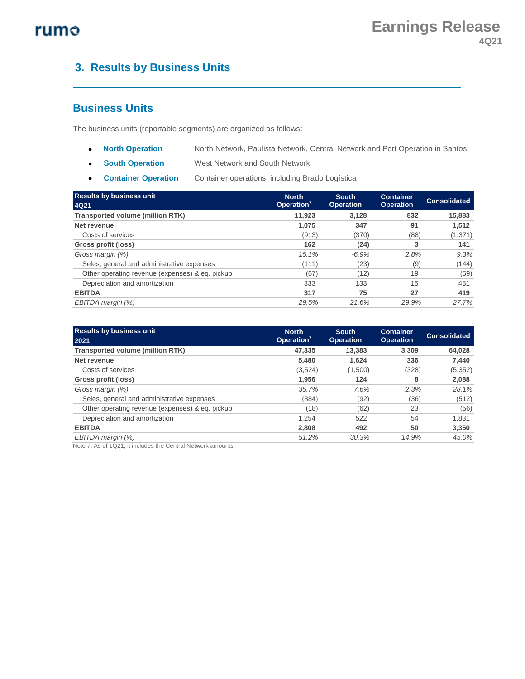## **3. Results by Business Units**

#### **Business Units**

The business units (reportable segments) are organized as follows:

- **North Operation** North Network, Paulista Network, Central Network and Port Operation in Santos
- **south Operation** West Network and South Network
- **Container Operation** Container operations, including Brado Logística

| <b>Results by business unit</b><br>4Q21         | <b>North</b><br>Operation <sup>7</sup> | <b>South</b><br><b>Operation</b> | <b>Container</b><br><b>Operation</b> | <b>Consolidated</b> |
|-------------------------------------------------|----------------------------------------|----------------------------------|--------------------------------------|---------------------|
| <b>Transported volume (million RTK)</b>         | 11,923                                 | 3.128                            | 832                                  | 15,883              |
| Net revenue                                     | 1.075                                  | 347                              | 91                                   | 1,512               |
| Costs of services                               | (913)                                  | (370)                            | (88)                                 | (1, 371)            |
| Gross profit (loss)                             | 162                                    | (24)                             | 3                                    | 141                 |
| Gross margin (%)                                | 15.1%                                  | $-6.9%$                          | 2.8%                                 | 9.3%                |
| Seles, general and administrative expenses      | (111)                                  | (23)                             | (9)                                  | (144)               |
| Other operating revenue (expenses) & eq. pickup | (67)                                   | (12)                             | 19                                   | (59)                |
| Depreciation and amortization                   | 333                                    | 133                              | 15                                   | 481                 |
| <b>EBITDA</b>                                   | 317                                    | 75                               | 27                                   | 419                 |
| EBITDA margin (%)                               | 29.5%                                  | 21.6%                            | 29.9%                                | 27.7%               |

| <b>Results by business unit</b><br>2021         | <b>North</b><br>Operation <sup>7</sup> | <b>South</b><br><b>Operation</b> | <b>Container</b><br><b>Operation</b> | <b>Consolidated</b> |
|-------------------------------------------------|----------------------------------------|----------------------------------|--------------------------------------|---------------------|
| <b>Transported volume (million RTK)</b>         | 47,335                                 | 13,383                           | 3.309                                | 64,028              |
| Net revenue                                     | 5.480                                  | 1.624                            | 336                                  | 7,440               |
| Costs of services                               | (3,524)                                | (1,500)                          | (328)                                | (5, 352)            |
| Gross profit (loss)                             | 1.956                                  | 124                              | 8                                    | 2,088               |
| Gross margin (%)                                | 35.7%                                  | 7.6%                             | 2.3%                                 | 28.1%               |
| Seles, general and administrative expenses      | (384)                                  | (92)                             | (36)                                 | (512)               |
| Other operating revenue (expenses) & eq. pickup | (18)                                   | (62)                             | 23                                   | (56)                |
| Depreciation and amortization                   | 1.254                                  | 522                              | 54                                   | 1,831               |
| <b>EBITDA</b>                                   | 2.808                                  | 492                              | 50                                   | 3,350               |
| EBITDA margin (%)                               | 51.2%                                  | 30.3%                            | 14.9%                                | 45.0%               |

Note 7: As of 1Q21, it includes the Central Network amounts.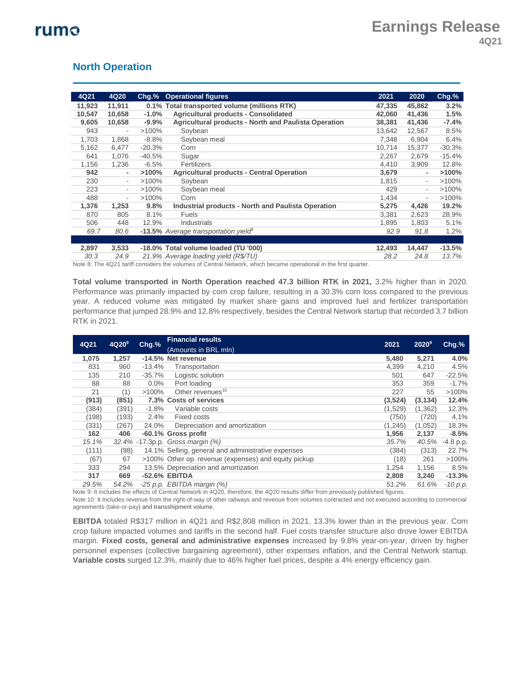#### **North Operation**

| 4Q21   | 4Q20   | Chg.%    | <b>Operational figures</b>                                | 2021   | 2020                     | $Chg$ .% |
|--------|--------|----------|-----------------------------------------------------------|--------|--------------------------|----------|
| 11,923 | 11,911 |          | 0.1% Total transported volume (millions RTK)              | 47.335 | 45.862                   | 3.2%     |
| 10,547 | 10,658 | $-1.0%$  | <b>Agricultural products - Consolidated</b>               | 42,060 | 41,436                   | 1.5%     |
| 9,605  | 10,658 | $-9.9%$  | Agricultural products - North and Paulista Operation      | 38,381 | 41,436                   | $-7.4%$  |
| 943    | ٠      | $>100\%$ | Soybean                                                   | 13,642 | 12,567                   | 8.5%     |
| 1,703  | 1,868  | $-8.8%$  | Soybean meal                                              | 7,348  | 6,904                    | 6.4%     |
| 5,162  | 6,477  | $-20.3%$ | Corn                                                      | 10,714 | 15,377                   | $-30.3%$ |
| 641    | 1,076  | $-40.5%$ | Sugar                                                     | 2,267  | 2,679                    | $-15.4%$ |
| 1,156  | 1,236  | $-6.5%$  | Fertilizers                                               | 4,410  | 3,909                    | 12.8%    |
| 942    | ٠      | $>100\%$ | <b>Agricultural products - Central Operation</b>          | 3,679  | $\overline{\phantom{a}}$ | >100%    |
| 230    | $\sim$ | $>100\%$ | Sovbean                                                   | 1,815  | $\overline{\phantom{a}}$ | $>100\%$ |
| 223    | ۰.     | $>100\%$ | Soybean meal                                              | 429    | $\overline{\phantom{a}}$ | $>100\%$ |
| 488    | ٠      | $>100\%$ | Corn                                                      | 1,434  | $\overline{\phantom{a}}$ | >100%    |
| 1,376  | 1,253  | 9.8%     | <b>Industrial products - North and Paulista Operation</b> | 5,275  | 4,426                    | 19.2%    |
| 870    | 805    | 8.1%     | <b>Fuels</b>                                              | 3,381  | 2,623                    | 28.9%    |
| 506    | 448    | 12.9%    | Industrials                                               | 1,895  | 1,803                    | 5.1%     |
| 69.7   | 80.6   |          | -13.5% Average transportation yield <sup>8</sup>          | 92.9   | 91.8                     | 1.2%     |
|        |        |          |                                                           |        |                          |          |
| 2,897  | 3,533  |          | -18.0% Total volume loaded (TU '000)                      | 12,493 | 14,447                   | $-13.5%$ |
| 30.3   | 24.9   |          | 21.9% Average loading yield (R\$/TU)                      | 28.2   | 24.8                     | 13.7%    |

Note 8: The 4Q21 tariff considers the volumes of Central Network, which became operational in the first quarter.

**Total volume transported in North Operation reached 47.3 billion RTK in 2021,** 3.2% higher than in 2020. Performance was primarily impacted by corn crop failure, resulting in a 30.3% corn loss compared to the previous year. A reduced volume was mitigated by market share gains and improved fuel and fertilizer transportation performance that jumped 28.9% and 12.8% respectively, besides the Central Network startup that recorded 3.7 billion RTK in 2021.

|       | 4Q20 <sup>9</sup> | $Chg.$ % | <b>Financial results</b>                             |          |          |             |
|-------|-------------------|----------|------------------------------------------------------|----------|----------|-------------|
| 4Q21  |                   |          | (Amounts in BRL mln)                                 | 2021     | $2020^9$ | $Chg.$ %    |
| 1,075 | 1,257             |          | -14.5% Net revenue                                   | 5,480    | 5,271    | 4.0%        |
| 831   | 960               | $-13.4%$ | Transportation                                       | 4,399    | 4,210    | 4.5%        |
| 135   | 210               | $-35.7%$ | Logistic solution                                    | 501      | 647      | $-22.5%$    |
| 88    | 88                | 0.0%     | Port loading                                         | 353      | 359      | $-1.7%$     |
| 21    | (1)               | $>100\%$ | Other revenues <sup>10</sup>                         | 227      | 55       | $>100\%$    |
| (913) | (851)             |          | 7.3% Costs of services                               | (3,524)  | (3, 134) | 12.4%       |
| (384) | (391)             | $-1.8%$  | Variable costs                                       | (1,529)  | (1, 362) | 12.3%       |
| (198) | (193)             | 2.4%     | Fixed costs                                          | (750)    | (720)    | 4,1%        |
| (331) | (267)             | 24.0%    | Depreciation and amortization                        | (1, 245) | (1,052)  | 18.3%       |
| 162   | 406               |          | -60.1% Gross profit                                  | 1,956    | 2,137    | $-8.5%$     |
| 15.1% |                   |          | 32.4% -17.3p.p. Gross margin (%)                     | 35.7%    | 40.5%    | $-4.8$ p.p. |
| (111) | (98)              |          | 14.1% Selling, general and administrative expenses   | (384)    | (313)    | 22.7%       |
| (67)  | 67                |          | >100% Other op. revenue (expenses) and equity pickup | (18)     | 261      | $>100\%$    |
| 333   | 294               |          | 13.5% Depreciation and amortization                  | 1,254    | 1,156    | 8.5%        |
| 317   | 669               |          | -52.6% EBITDA                                        | 2,808    | 3,240    | $-13.3%$    |
| 29.5% | 54.2%             |          | $-25$ p.p. EBITDA margin $(%)$                       | 51.2%    | 61.6%    | $-10$ p.p.  |

Note 9: It includes the effects of Central Network in 4Q20, therefore, the 4Q20 results differ from previously published figures. Note 10: It Includes revenue from the right-of-way of other railways and revenue from volumes contracted and not executed according to commercial agreements (take-or-pay) and transshipment volume.

**EBITDA** totaled R\$317 million in 4Q21 and R\$2,808 million in 2021, 13.3% lower than in the previous year. Corn crop failure impacted volumes and tariffs in the second half. Fuel costs transfer structure also drove lower EBITDA margin. **Fixed costs, general and administrative expenses** increased by 9.8% year-on-year, driven by higher personnel expenses (collective bargaining agreement), other expenses inflation, and the Central Network startup. **Variable costs** surged 12.3%, mainly due to 46% higher fuel prices, despite a 4% energy efficiency gain.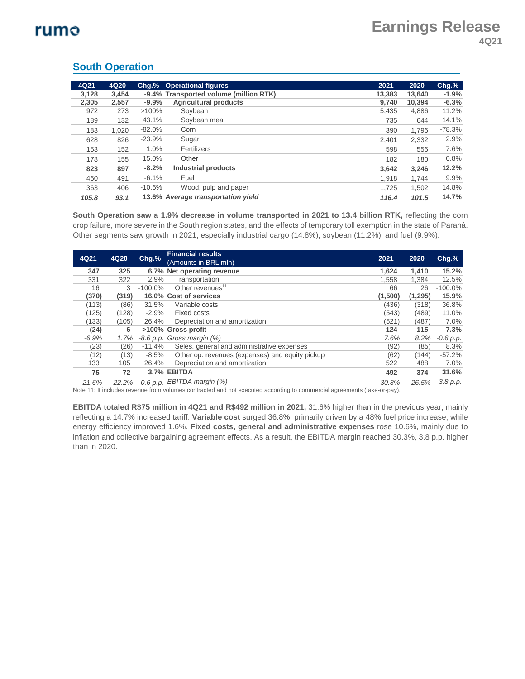| 4Q21  | 4Q20  |          | <b>Chg.% Operational figures</b>       | 2021   | 2020   | Chg.%    |
|-------|-------|----------|----------------------------------------|--------|--------|----------|
| 3,128 | 3.454 |          | -9.4% Transported volume (million RTK) | 13.383 | 13.640 | $-1.9%$  |
| 2,305 | 2,557 | $-9.9%$  | <b>Agricultural products</b>           | 9.740  | 10.394 | $-6.3%$  |
| 972   | 273   | $>100\%$ | Sovbean                                | 5.435  | 4,886  | 11.2%    |
| 189   | 132   | 43.1%    | Soybean meal                           | 735    | 644    | 14.1%    |
| 183   | 1.020 | $-82.0%$ | Corn                                   | 390    | 1.796  | $-78.3%$ |
| 628   | 826   | $-23.9%$ | Sugar                                  | 2.401  | 2,332  | 2.9%     |
| 153   | 152   | 1.0%     | Fertilizers                            | 598    | 556    | 7.6%     |
| 178   | 155   | 15.0%    | Other                                  | 182    | 180    | 0.8%     |
| 823   | 897   | $-8.2%$  | <b>Industrial products</b>             | 3.642  | 3,246  | 12.2%    |
| 460   | 491   | $-6.1%$  | Fuel                                   | 1.918  | 1.744  | 9.9%     |
| 363   | 406   | $-10.6%$ | Wood, pulp and paper                   | 1.725  | 1.502  | 14.8%    |
| 105.8 | 93.1  |          | 13.6% Average transportation yield     | 116.4  | 101.5  | 14.7%    |

#### **South Operation**

**South Operation saw a 1.9% decrease in volume transported in 2021 to 13.4 billion RTK,** reflecting the corn crop failure, more severe in the South region states, and the effects of temporary toll exemption in the state of Paraná. Other segments saw growth in 2021, especially industrial cargo (14.8%), soybean (11.2%), and fuel (9.9%).

| 4Q21    | 4Q20  | Chg.%      | <b>Financial results</b><br>(Amounts in BRL mln) | 2021    | 2020     | $Chg.$ %    |
|---------|-------|------------|--------------------------------------------------|---------|----------|-------------|
| 347     | 325   |            | 6.7% Net operating revenue                       | 1.624   | 1.410    | 15.2%       |
| 331     | 322   | 2.9%       | Transportation                                   | 1,558   | 1,384    | 12.5%       |
| 16      | 3     | $-100.0\%$ | Other revenues <sup>11</sup>                     | 66      | 26       | $-100.0\%$  |
| (370)   | (319) |            | 16.0% Cost of services                           | (1,500) | (1, 295) | 15.9%       |
| (113)   | (86)  | 31.5%      | Variable costs                                   | (436)   | (318)    | 36.8%       |
| (125)   | (128) | $-2.9%$    | Fixed costs                                      | (543)   | (489)    | 11.0%       |
| (133)   | (105) | 26.4%      | Depreciation and amortization                    | (521)   | (487)    | 7.0%        |
| (24)    | 6     |            | >100% Gross profit                               | 124     | 115      | 7.3%        |
| $-6.9%$ | 1.7%  |            | $-8.6$ p.p. Gross margin $(%)$                   | 7.6%    | 8.2%     | $-0.6 p.p.$ |
| (23)    | (26)  | $-11.4%$   | Seles, general and administrative expenses       | (92)    | (85)     | 8.3%        |
| (12)    | (13)  | $-8.5%$    | Other op. revenues (expenses) and equity pickup  | (62)    | (144)    | $-57.2%$    |
| 133     | 105   | 26.4%      | Depreciation and amortization                    | 522     | 488      | 7.0%        |
| 75      | 72    |            | 3.7% EBITDA                                      | 492     | 374      | 31.6%       |
| 21.6%   | 22.2% |            | $-0.6$ p.p. EBITDA margin $(\%)$                 | 30.3%   | 26.5%    | 3.8 p.p.    |

Note 11: It includes revenue from volumes contracted and not executed according to commercial agreements (take-or-pay).

**EBITDA totaled R\$75 million in 4Q21 and R\$492 million in 2021,** 31.6% higher than in the previous year, mainly reflecting a 14.7% increased tariff. **Variable cost** surged 36.8%, primarily driven by a 48% fuel price increase, while energy efficiency improved 1.6%. **Fixed costs, general and administrative expenses** rose 10.6%, mainly due to inflation and collective bargaining agreement effects. As a result, the EBITDA margin reached 30.3%, 3.8 p.p. higher than in 2020.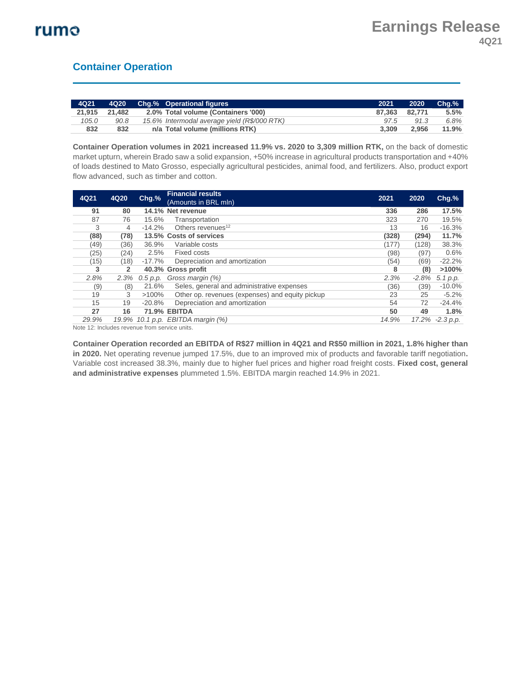### **Container Operation**

| $-4Q21$ | 4Q20   | <b>Chg.% Operational figures</b>             | 2021          | 2020  | $Cha.$ % |
|---------|--------|----------------------------------------------|---------------|-------|----------|
| 21.915  | 21.482 | 2.0% Total volume (Containers '000)          | 87.363 82.771 |       | 5.5%     |
| 105.0   | 90.8   | 15.6% Intermodal average yield (R\$/000 RTK) | 97.5          | 91.3  | 6.8%     |
| 832     | 832    | n/a Total volume (millions RTK)              | 3.309         | 2.956 | 11.9%    |

**Container Operation volumes in 2021 increased 11.9% vs. 2020 to 3,309 million RTK,** on the back of domestic market upturn, wherein Brado saw a solid expansion, +50% increase in agricultural products transportation and +40% of loads destined to Mato Grosso, especially agricultural pesticides, animal food, and fertilizers. Also, product export flow advanced, such as timber and cotton.

| 4Q21  | 4Q20           | $Chg$ .%  | <b>Financial results</b><br>(Amounts in BRL mln) | 2021  | 2020    | $Chg.$ %        |
|-------|----------------|-----------|--------------------------------------------------|-------|---------|-----------------|
| 91    | 80             |           | 14.1% Net revenue                                | 336   | 286     | 17.5%           |
| 87    | 76             | 15.6%     | Transportation                                   | 323   | 270     | 19.5%           |
| 3     | 4              | $-14.2%$  | Others revenues <sup>12</sup>                    | 13    | 16      | $-16.3%$        |
| (88)  | (78)           |           | 13.5% Costs of services                          | (328) | (294)   | 11.7%           |
| (49)  | (36)           | 36.9%     | Variable costs                                   | (177) | (128)   | 38.3%           |
| (25)  | (24)           | 2.5%      | <b>Fixed costs</b>                               | (98)  | (97)    | 0.6%            |
| (15)  | (18)           | $-17.7\%$ | Depreciation and amortization                    | (54)  | (69)    | $-22.2%$        |
| 3     | $\overline{2}$ |           | 40.3% Gross profit                               | 8     | (8)     | >100%           |
| 2.8%  | 2.3%           | 0.5 p.p.  | Gross margin (%)                                 | 2.3%  | $-2.8%$ | 5.1 p.p.        |
| (9)   | (8)            | 21.6%     | Seles, general and administrative expenses       | (36)  | (39)    | $-10.0\%$       |
| 19    | 3              | $>100\%$  | Other op. revenues (expenses) and equity pickup  | 23    | 25      | $-5.2%$         |
| 15    | 19             | $-20.8%$  | Depreciation and amortization                    | 54    | 72      | $-24.4%$        |
| 27    | 16             |           | <b>71.9% EBITDA</b>                              | 50    | 49      | 1.8%            |
| 29.9% | 19.9%          |           | 10.1 p.p. $EBITDA$ margin $(%)$                  | 14.9% |         | 17.2% -2.3 p.p. |

Note 12: Includes revenue from service units.

**Container Operation recorded an EBITDA of R\$27 million in 4Q21 and R\$50 million in 2021, 1.8% higher than in 2020.** Net operating revenue jumped 17.5%, due to an improved mix of products and favorable tariff negotiation**.**  Variable cost increased 38.3%, mainly due to higher fuel prices and higher road freight costs. **Fixed cost, general and administrative expenses** plummeted 1.5%. EBITDA margin reached 14.9% in 2021.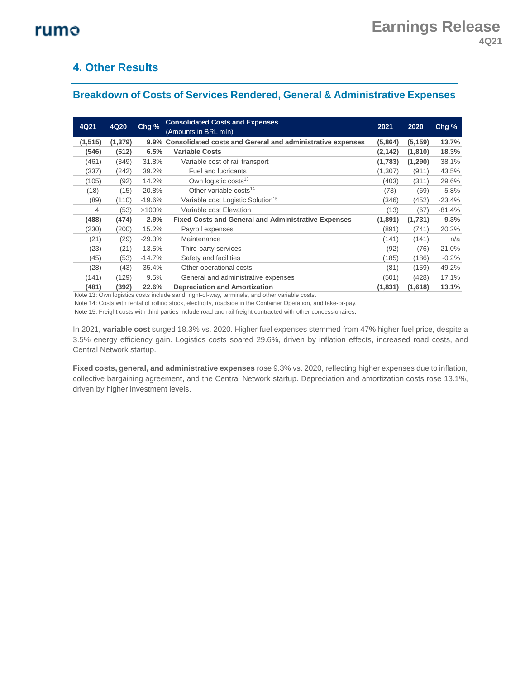### **4. Other Results**

### **Breakdown of Costs of Services Rendered, General & Administrative Expenses**

| 4Q21              | 4Q20     | Chg %    | <b>Consolidated Costs and Expenses</b><br>(Amounts in BRL mln)  | 2021     | 2020     | Chg %    |
|-------------------|----------|----------|-----------------------------------------------------------------|----------|----------|----------|
| (1, 515)          | (1, 379) |          | 9.9% Consolidated costs and Gereral and administrative expenses | (5,864)  | (5, 159) | 13.7%    |
| (546)             | (512)    | 6.5%     | <b>Variable Costs</b>                                           | (2,142)  | (1, 810) | 18.3%    |
| (461)             | (349)    | 31.8%    | Variable cost of rail transport                                 | (1,783)  | (1, 290) | 38.1%    |
| (337)             | (242)    | 39.2%    | <b>Fuel and lucricants</b>                                      | (1, 307) | (911)    | 43.5%    |
| (105)             | (92)     | 14.2%    | Own logistic costs <sup>13</sup>                                | (403)    | (311)    | 29.6%    |
| (18)              | (15)     | 20.8%    | Other variable costs <sup>14</sup>                              | (73)     | (69)     | 5.8%     |
| (89)              | (110)    | $-19.6%$ | Variable cost Logistic Solution <sup>15</sup>                   | (346)    | (452)    | $-23.4%$ |
| 4                 | (53)     | $>100\%$ | Variable cost Elevation                                         | (13)     | (67)     | $-81.4%$ |
| (488)             | (474)    | 2.9%     | <b>Fixed Costs and General and Administrative Expenses</b>      | (1,891)  | (1,731)  | 9.3%     |
| (230)             | (200)    | 15.2%    | Payroll expenses                                                | (891)    | (741)    | 20.2%    |
| (21)              | (29)     | $-29.3%$ | Maintenance                                                     | (141)    | (141)    | n/a      |
| (23)              | (21)     | 13.5%    | Third-party services                                            | (92)     | (76)     | 21.0%    |
| (45)              | (53)     | $-14.7%$ | Safety and facilities                                           | (185)    | (186)    | $-0.2%$  |
| (28)              | (43)     | $-35.4%$ | Other operational costs                                         | (81)     | (159)    | $-49.2%$ |
| (141)             | (129)    | 9.5%     | General and administrative expenses                             | (501)    | (428)    | 17.1%    |
| (481)<br>$\cdots$ | (392)    | 22.6%    | <b>Depreciation and Amortization</b><br>$\cdots$                | (1,831)  | (1,618)  | 13.1%    |

Note 13: Own logistics costs include sand, right-of-way, terminals, and other variable costs.

Note 14: Costs with rental of rolling stock, electricity, roadside in the Container Operation, and take-or-pay*.*

Note 15: Freight costs with third parties include road and rail freight contracted with other concessionaires.

In 2021, **variable cost** surged 18.3% vs. 2020. Higher fuel expenses stemmed from 47% higher fuel price, despite a 3.5% energy efficiency gain. Logistics costs soared 29.6%, driven by inflation effects, increased road costs, and Central Network startup.

**Fixed costs, general, and administrative expenses** rose 9.3% vs. 2020, reflecting higher expenses due to inflation, collective bargaining agreement, and the Central Network startup. Depreciation and amortization costs rose 13.1%, driven by higher investment levels.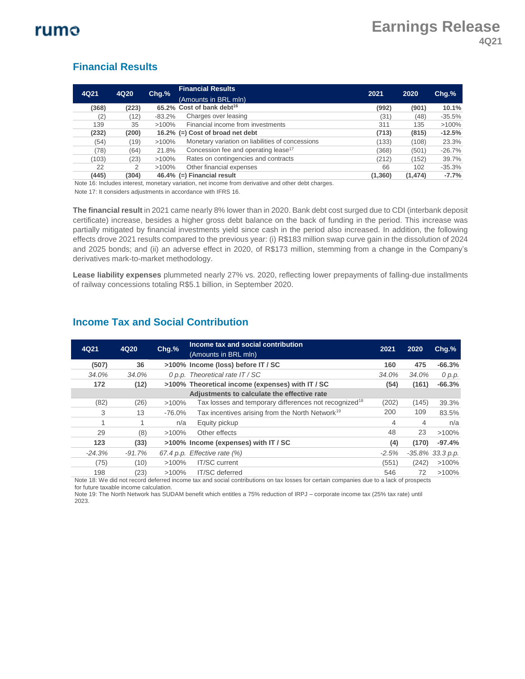#### **Financial Results**

| 4Q21  | 4Q20  | Chg.%     | <b>Financial Results</b>                         | 2021    | 2020     | $Chg.$ % |
|-------|-------|-----------|--------------------------------------------------|---------|----------|----------|
|       |       |           | (Amounts in BRL mln)                             |         |          |          |
| (368) | (223) |           | 65.2% Cost of bank debt <sup>16</sup>            | (992)   | (901)    | 10.1%    |
| (2)   | (12)  | $-83.2\%$ | Charges over leasing                             | (31)    | (48)     | $-35.5%$ |
| 139   | 35    | $>100\%$  | Financial income from investments                | 311     | 135      | >100%    |
| (232) | (200) |           | 16.2% $(=)$ Cost of broad net debt               | (713)   | (815)    | $-12.5%$ |
| (54)  | (19)  | $>100\%$  | Monetary variation on liabilities of concessions | (133)   | (108)    | 23.3%    |
| (78)  | (64)  | 21.8%     | Concession fee and operating lease <sup>17</sup> | (368)   | (501)    | $-26.7%$ |
| (103) | (23)  | $>100\%$  | Rates on contingencies and contracts             | (212)   | (152)    | 39.7%    |
| 22    | 2     | $>100\%$  | Other financial expenses                         | 66      | 102      | $-35.3%$ |
| (445) | (304) |           | 46.4% (=) Financial result                       | (1,360) | (1, 474) | $-7.7%$  |

Note 16: Includes interest, monetary variation, net income from derivative and other debt charges. Note 17: It considers adjustments in accordance with IFRS 16.

**The financial result** in 2021 came nearly 8% lower than in 2020. Bank debt cost surged due to CDI (interbank deposit certificate) increase, besides a higher gross debt balance on the back of funding in the period. This increase was partially mitigated by financial investments yield since cash in the period also increased. In addition, the following effects drove 2021 results compared to the previous year: (i) R\$183 million swap curve gain in the dissolution of 2024 and 2025 bonds; and (ii) an adverse effect in 2020, of R\$173 million, stemming from a change in the Company's derivatives mark-to-market methodology.

**Lease liability expenses** plummeted nearly 27% vs. 2020, reflecting lower prepayments of falling-due installments of railway concessions totaling R\$5.1 billion, in September 2020.

| 4Q21     | 4Q20     | Chg.%     | Income tax and social contribution<br>(Amounts in BRL mln)                                                                                                     | 2021    | 2020  | $Chg.$ %            |
|----------|----------|-----------|----------------------------------------------------------------------------------------------------------------------------------------------------------------|---------|-------|---------------------|
| (507)    | 36       |           | >100% Income (loss) before IT / SC                                                                                                                             | 160     | 475   | $-66.3%$            |
| 34.0%    | 34.0%    |           | 0 p.p. Theoretical rate IT / SC                                                                                                                                | 34.0%   | 34.0% | 0 p.p.              |
| 172      | (12)     |           | >100% Theoretical income (expenses) with IT / SC                                                                                                               | (54)    | (161) | $-66.3%$            |
|          |          |           | Adjustments to calculate the effective rate                                                                                                                    |         |       |                     |
| (82)     | (26)     | $>100\%$  | Tax losses and temporary differences not recognized $^{18}$                                                                                                    | (202)   | (145) | 39.3%               |
| 3        | 13       | $-76.0%$  | Tax incentives arising from the North Network <sup>19</sup>                                                                                                    | 200     | 109   | 83.5%               |
|          |          | n/a       | Equity pickup                                                                                                                                                  | 4       | 4     | n/a                 |
| 29       | (8)      | $>100\%$  | Other effects                                                                                                                                                  | 48      | 23    | >100%               |
| 123      | (33)     |           | >100% Income (expenses) with IT / SC                                                                                                                           | (4)     | (170) | $-97.4%$            |
| $-24.3%$ | $-91.7%$ | 67.4 p.p. | Effective rate (%)                                                                                                                                             | $-2.5%$ |       | $-35.8\%$ 33.3 p.p. |
| (75)     | (10)     | $>100\%$  | <b>IT/SC</b> current                                                                                                                                           | (551)   | (242) | >100%               |
| 198      | (23)     | $>100\%$  | <b>IT/SC</b> deferred<br>Nets 10: We ald not recept deferred income toy and accipie with signs on toy looses for certain acmonister due to a look of necessary | 546     | 72    | $>100\%$            |

#### **Income Tax and Social Contribution**

18: We did not record deferred income tax and social contributions on tax losses for certain companies due to a lack of prospects for future taxable income calculation.

Note 19: The North Network has SUDAM benefit which entitles a 75% reduction of IRPJ – corporate income tax (25% tax rate) until 2023.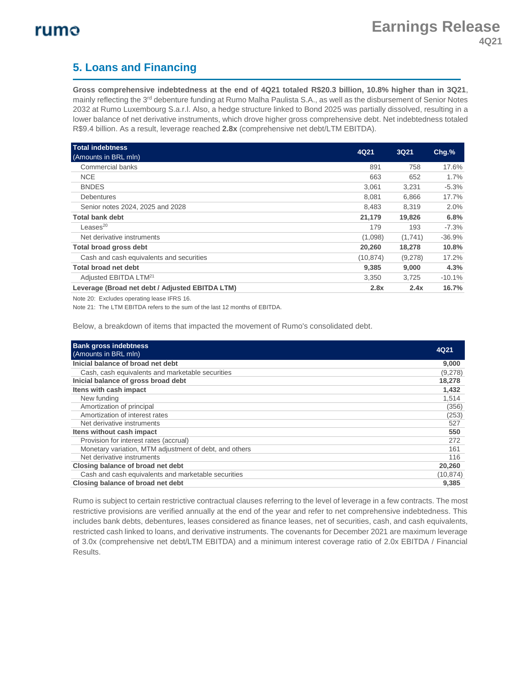## **5. Loans and Financing**

**Gross comprehensive indebtedness at the end of 4Q21 totaled R\$20.3 billion, 10.8% higher than in 3Q21**, mainly reflecting the 3<sup>rd</sup> debenture funding at Rumo Malha Paulista S.A., as well as the disbursement of Senior Notes 2032 at Rumo Luxembourg S.a.r.l. Also, a hedge structure linked to Bond 2025 was partially dissolved, resulting in a lower balance of net derivative instruments, which drove higher gross comprehensive debt. Net indebtedness totaled R\$9.4 billion. As a result, leverage reached **2.8x** (comprehensive net debt/LTM EBITDA).

| <b>Total indebtness</b>                         | 4Q21      | <b>3Q21</b> |          |
|-------------------------------------------------|-----------|-------------|----------|
| (Amounts in BRL mln)                            |           |             | $Chg.$ % |
| Commercial banks                                | 891       | 758         | 17.6%    |
| <b>NCE</b>                                      | 663       | 652         | $1.7\%$  |
| <b>BNDES</b>                                    | 3.061     | 3,231       | $-5.3%$  |
| <b>Debentures</b>                               | 8.081     | 6,866       | 17.7%    |
| Senior notes 2024, 2025 and 2028                | 8.483     | 8,319       | $2.0\%$  |
| <b>Total bank debt</b>                          | 21,179    | 19,826      | 6.8%     |
| Leases $^{20}$                                  | 179       | 193         | $-7.3\%$ |
| Net derivative instruments                      | (1,098)   | (1,741)     | $-36.9%$ |
| <b>Total broad gross debt</b>                   | 20,260    | 18,278      | 10.8%    |
| Cash and cash equivalents and securities        | (10, 874) | (9,278)     | 17.2%    |
| Total broad net debt                            | 9,385     | 9,000       | 4.3%     |
| Adjusted EBITDA LTM <sup>21</sup>               | 3,350     | 3.725       | $-10.1%$ |
| Leverage (Broad net debt / Adjusted EBITDA LTM) | 2.8x      | 2.4x        | 16.7%    |

Note 20: Excludes operating lease IFRS 16.

Note 21: The LTM EBITDA refers to the sum of the last 12 months of EBITDA.

Below, a breakdown of items that impacted the movement of Rumo's consolidated debt.

| <b>Bank gross indebtness</b><br>(Amounts in BRL mln)   | 4Q21      |
|--------------------------------------------------------|-----------|
| Inicial balance of broad net debt                      | 9,000     |
| Cash, cash equivalents and marketable securities       | (9,278)   |
| Inicial balance of gross broad debt                    | 18,278    |
| Itens with cash impact                                 | 1,432     |
| New funding                                            | 1,514     |
| Amortization of principal                              | (356)     |
| Amortization of interest rates                         | (253)     |
| Net derivative instruments                             | 527       |
| Itens without cash impact                              | 550       |
| Provision for interest rates (accrual)                 | 272       |
| Monetary variation, MTM adjustment of debt, and others | 161       |
| Net derivative instruments                             | 116       |
| Closing balance of broad net debt                      | 20,260    |
| Cash and cash equivalents and marketable securities    | (10, 874) |
| Closing balance of broad net debt                      | 9.385     |

Rumo is subject to certain restrictive contractual clauses referring to the level of leverage in a few contracts. The most restrictive provisions are verified annually at the end of the year and refer to net comprehensive indebtedness. This includes bank debts, debentures, leases considered as finance leases, net of securities, cash, and cash equivalents, restricted cash linked to loans, and derivative instruments. The covenants for December 2021 are maximum leverage of 3.0x (comprehensive net debt/LTM EBITDA) and a minimum interest coverage ratio of 2.0x EBITDA / Financial Results.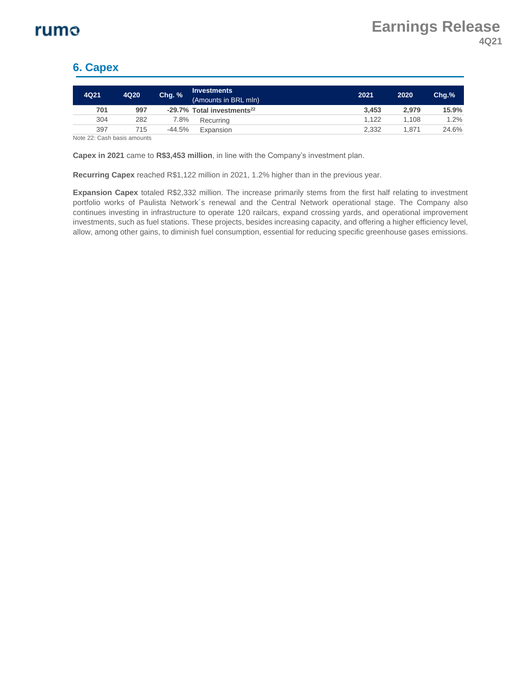### **6. Capex**

| 4Q21                                                                                                                                                                                                                                                                                                                               | 4Q20 | <b>Chg. %</b> | <b>Investments</b><br>(Amounts in BRL mln) | 2021  | 2020  | $Chq.$ % |
|------------------------------------------------------------------------------------------------------------------------------------------------------------------------------------------------------------------------------------------------------------------------------------------------------------------------------------|------|---------------|--------------------------------------------|-------|-------|----------|
| 701                                                                                                                                                                                                                                                                                                                                | 997  |               | -29.7% Total investments <sup>22</sup>     | 3.453 | 2.979 | 15.9%    |
| 304                                                                                                                                                                                                                                                                                                                                | 282  | 7.8%          | Recurrina                                  | 1.122 | 1.108 | 1.2%     |
| 397                                                                                                                                                                                                                                                                                                                                | 715  | $-44.5%$      | Expansion                                  | 2,332 | 1.871 | 24.6%    |
| $\mathbf{r}$ $\mathbf{r}$ $\mathbf{r}$ $\mathbf{r}$ $\mathbf{r}$ $\mathbf{r}$ $\mathbf{r}$ $\mathbf{r}$ $\mathbf{r}$ $\mathbf{r}$ $\mathbf{r}$ $\mathbf{r}$ $\mathbf{r}$ $\mathbf{r}$ $\mathbf{r}$ $\mathbf{r}$ $\mathbf{r}$ $\mathbf{r}$ $\mathbf{r}$ $\mathbf{r}$ $\mathbf{r}$ $\mathbf{r}$ $\mathbf{r}$ $\mathbf{r}$ $\mathbf{$ |      |               |                                            |       |       |          |

Note 22: Cash basis amounts

**Capex in 2021** came to **R\$3,453 million**, in line with the Company's investment plan.

**Recurring Capex** reached R\$1,122 million in 2021, 1.2% higher than in the previous year.

**Expansion Capex** totaled R\$2,332 million. The increase primarily stems from the first half relating to investment portfolio works of Paulista Network´s renewal and the Central Network operational stage. The Company also continues investing in infrastructure to operate 120 railcars, expand crossing yards, and operational improvement investments, such as fuel stations. These projects, besides increasing capacity, and offering a higher efficiency level, allow, among other gains, to diminish fuel consumption, essential for reducing specific greenhouse gases emissions.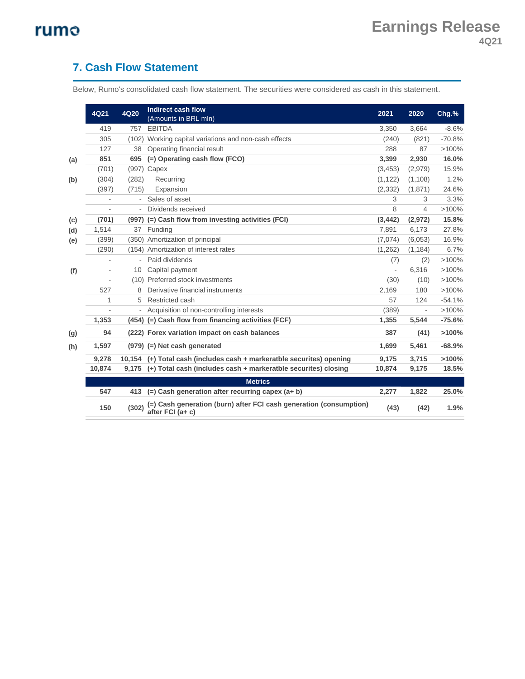### **7. Cash Flow Statement**

Below, Rumo's consolidated cash flow statement. The securities were considered as cash in this statement.

|     | 4Q21   | 4Q20   | <b>Indirect cash flow</b><br>(Amounts in BRL mln)                                      | 2021     | 2020     | Chg.%    |
|-----|--------|--------|----------------------------------------------------------------------------------------|----------|----------|----------|
|     | 419    | 757    | <b>EBITDA</b>                                                                          | 3,350    | 3,664    | $-8.6%$  |
|     | 305    | (102)  | Working capital variations and non-cash effects                                        | (240)    | (821)    | $-70.8%$ |
|     | 127    | 38     | Operating financial result                                                             | 288      | 87       | >100%    |
| (a) | 851    | 695    | (=) Operating cash flow (FCO)                                                          | 3,399    | 2,930    | 16.0%    |
|     | (701)  |        | (997) Capex                                                                            | (3, 453) | (2,979)  | 15.9%    |
| (b) | (304)  | (282)  | Recurring                                                                              | (1, 122) | (1, 108) | 1.2%     |
|     | (397)  | (715)  | Expansion                                                                              | (2, 332) | (1,871)  | 24.6%    |
|     |        |        | Sales of asset                                                                         | 3        | 3        | 3.3%     |
|     |        |        | Dividends received                                                                     | 8        | 4        | >100%    |
| (c) | (701)  |        | (997) (=) Cash flow from investing activities (FCI)                                    | (3, 442) | (2,972)  | 15.8%    |
| (d) | 1,514  | 37     | Funding                                                                                | 7,891    | 6,173    | 27.8%    |
| (e) | (399)  | (350)  | Amortization of principal                                                              | (7,074)  | (6,053)  | 16.9%    |
|     | (290)  | (154)  | Amortization of interest rates                                                         | (1,262)  | (1, 184) | 6.7%     |
|     |        |        | Paid dividends                                                                         | (7)      | (2)      | >100%    |
| (f) |        | 10     | Capital payment                                                                        |          | 6,316    | >100%    |
|     |        | (10)   | Preferred stock investments                                                            | (30)     | (10)     | >100%    |
|     | 527    | 8      | Derivative financial instruments                                                       | 2,169    | 180      | >100%    |
|     | 1      | 5      | Restricted cash                                                                        | 57       | 124      | $-54.1%$ |
|     |        | -      | Acquisition of non-controlling interests                                               | (389)    |          | >100%    |
|     | 1,353  |        | (454) (=) Cash flow from financing activities (FCF)                                    | 1,355    | 5,544    | $-75.6%$ |
| (g) | 94     |        | (222) Forex variation impact on cash balances                                          | 387      | (41)     | >100%    |
| (h) | 1,597  |        | (979) (=) Net cash generated                                                           | 1,699    | 5,461    | $-68.9%$ |
|     | 9,278  | 10.154 | (+) Total cash (includes cash + markeratble securites) opening                         | 9,175    | 3,715    | >100%    |
|     | 10,874 | 9,175  | (+) Total cash (includes cash + markeratble securites) closing                         | 10,874   | 9,175    | 18.5%    |
|     |        |        | <b>Metrics</b>                                                                         |          |          |          |
|     | 547    | 413    | (=) Cash generation after recurring capex (a+ b)                                       | 2,277    | 1,822    | 25.0%    |
|     | 150    | (302)  | (=) Cash generation (burn) after FCI cash generation (consumption)<br>after FCI (a+ c) | (43)     | (42)     | 1.9%     |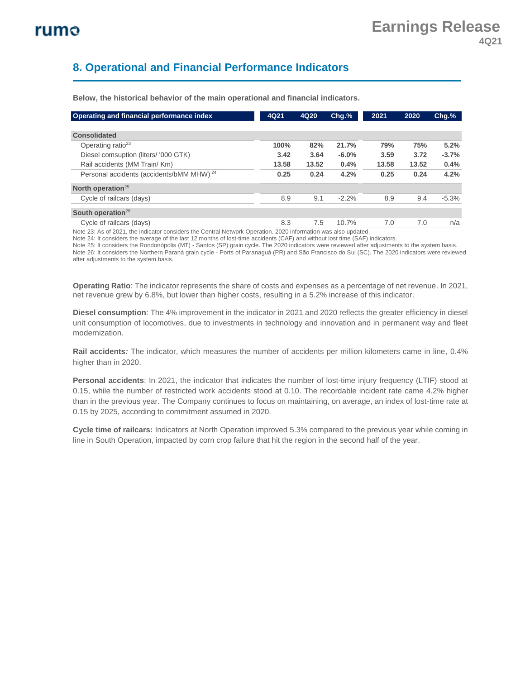### **8. Operational and Financial Performance Indicators**

| Operating and financial performance index                                                                      | 4Q21  | 4Q20  | $Chg.$ % | 2021  | 2020  | $Chg$ .% |
|----------------------------------------------------------------------------------------------------------------|-------|-------|----------|-------|-------|----------|
| <b>Consolidated</b>                                                                                            |       |       |          |       |       |          |
| Operating ratio <sup>23</sup>                                                                                  | 100%  | 82%   | 21.7%    | 79%   | 75%   | 5.2%     |
| Diesel comsuption (liters/ '000 GTK)                                                                           | 3.42  | 3.64  | $-6.0%$  | 3.59  | 3.72  | $-3.7%$  |
| Rail accidents (MM Train/ Km)                                                                                  | 13.58 | 13.52 | 0.4%     | 13.58 | 13.52 | 0.4%     |
| Personal accidents (accidents/bMM MHW) <sup>24</sup>                                                           | 0.25  | 0.24  | 4.2%     | 0.25  | 0.24  | 4.2%     |
| North operation <sup>25</sup>                                                                                  |       |       |          |       |       |          |
| Cycle of railcars (days)                                                                                       | 8.9   | 9.1   | $-2.2%$  | 8.9   | 9.4   | $-5.3%$  |
| South operation $26$                                                                                           |       |       |          |       |       |          |
| Cycle of railcars (days)                                                                                       | 8.3   | 7.5   | 10.7%    | 7.0   | 7.0   | n/a      |
| Note 20: As of 2024, the indicator considers the Control Natural Consection, 2020 information was also undeted |       |       |          |       |       |          |

**Below, the historical behavior of the main operational and financial indicators.**

As of 2021, the indicator considers the Central Network Operation. 2020 information was also upo

Note 24: It considers the average of the last 12 months of lost-time accidents (CAF) and without lost time (SAF) indicators.

Note 25: It considers the Rondonópolis (MT) - Santos (SP) grain cycle. The 2020 indicators were reviewed after adjustments to the system basis. Note 26: It considers the Northern Paraná grain cycle - Ports of Paranaguá (PR) and São Francisco do Sul (SC). The 2020 indicators were reviewed after adjustments to the system basis.

**Operating Ratio**: The indicator represents the share of costs and expenses as a percentage of net revenue. In 2021, net revenue grew by 6.8%, but lower than higher costs, resulting in a 5.2% increase of this indicator.

**Diesel consumption**: The 4% improvement in the indicator in 2021 and 2020 reflects the greater efficiency in diesel unit consumption of locomotives, due to investments in technology and innovation and in permanent way and fleet modernization.

**Rail accidents***:* The indicator, which measures the number of accidents per million kilometers came in line, 0.4% higher than in 2020.

**Personal accidents**: In 2021, the indicator that indicates the number of lost-time injury frequency (LTIF) stood at 0.15, while the number of restricted work accidents stood at 0.10. The recordable incident rate came 4.2% higher than in the previous year. The Company continues to focus on maintaining, on average, an index of lost-time rate at 0.15 by 2025, according to commitment assumed in 2020.

**Cycle time of railcars:** Indicators at North Operation improved 5.3% compared to the previous year while coming in line in South Operation, impacted by corn crop failure that hit the region in the second half of the year.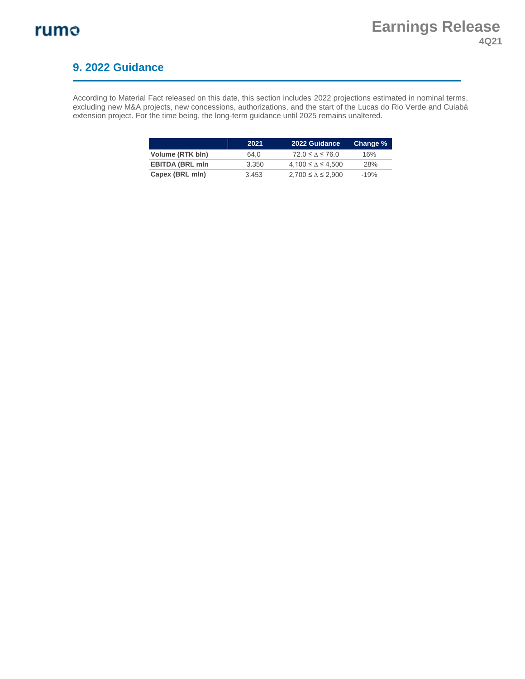### **9. 2022 Guidance**

According to Material Fact released on this date, this section includes 2022 projections estimated in nominal terms, excluding new M&A projects, new concessions, authorizations, and the start of the Lucas do Rio Verde and Cuiabá extension project. For the time being, the long-term guidance until 2025 remains unaltered.

|                        | 2021  | 2022 Guidance                | Change % |
|------------------------|-------|------------------------------|----------|
| Volume (RTK bln)       | 64.0  | $72.0 \le \Lambda \le 76.0$  | 16%      |
| <b>EBITDA (BRL mln</b> | 3.350 | $4.100 \le \Delta \le 4.500$ | 28%      |
| Capex (BRL mln)        | 3.453 | $2.700 \le \Delta \le 2.900$ | $-19%$   |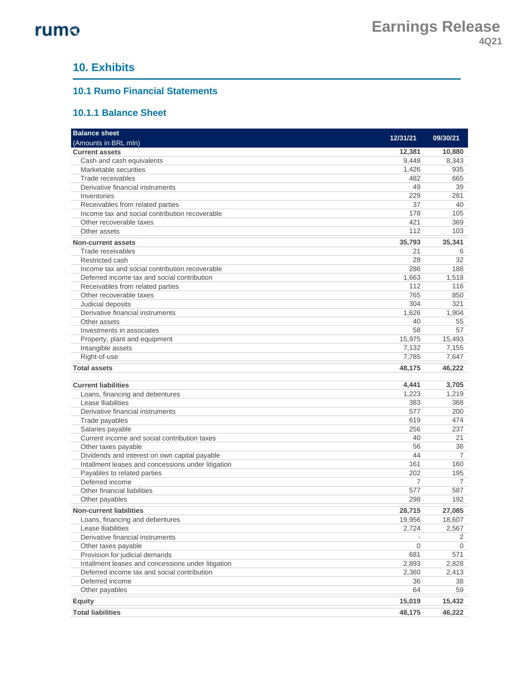### **10. Exhibits**

#### **10.1 Rumo Financial Statements**

#### **10.1.1 Balance Sheet**

| <b>Balance sheet</b>                                                                                |                |           |
|-----------------------------------------------------------------------------------------------------|----------------|-----------|
| (Amounts in BRL mln)                                                                                | 12/31/21       | 09/30/21  |
| <b>Current assets</b>                                                                               | 12,381         | 10,880    |
| Cash and cash equivalents                                                                           | 9,448          | 8,343     |
| Marketable securities                                                                               | 1,426          | 935       |
| Trade receivables                                                                                   | 482            | 665       |
| Derivative financial instruments                                                                    | 49             | 39        |
| Inventories                                                                                         | 229            | 281       |
| Receivables from related parties                                                                    | 37             | 40        |
| Income tax and social contribution recoverable                                                      | 178            | 105       |
| Other recoverable taxes                                                                             | 421            | 369       |
| Other assets                                                                                        | 112            | 103       |
| <b>Non-current assets</b>                                                                           | 35,793         | 35,341    |
| Trade receivables                                                                                   | 21             | 6         |
| Restricted cash                                                                                     | 28             | 32        |
| Income tax and social contribution recoverable                                                      | 286            | 188       |
| Deferred income tax and social contribution                                                         | 1,663          | 1,518     |
| Receivables from related parties                                                                    | 112            | 116       |
| Other recoverable taxes                                                                             | 765            | 850       |
| Judicial deposits                                                                                   | 304            | 321       |
| Derivative financial instruments                                                                    | 1,626          | 1,904     |
| Other assets                                                                                        | 40             | 55        |
| Investments in associates                                                                           | 58             | 57        |
| Property, plant and equipment                                                                       | 15,975         | 15,493    |
| Intangible assets                                                                                   | 7,132          | 7,155     |
| Right-of-use                                                                                        | 7,785          | 7,647     |
| <b>Total assets</b>                                                                                 | 48,175         | 46,222    |
|                                                                                                     |                |           |
| <b>Current liabilities</b>                                                                          | 4,441          | 3,705     |
| Loans, financing and debentures                                                                     | 1,223          | 1,219     |
| Lease Iliabilities                                                                                  | 383            | 368       |
| Derivative financial instruments                                                                    | 577            | 200       |
| Trade payables                                                                                      | 619<br>256     | 474       |
| Salaries payable                                                                                    | 40             | 237<br>21 |
| Current income and social contribution taxes                                                        | 56             |           |
| Other taxes payable                                                                                 | 44             | 38<br>7   |
| Dividends and interest on own capital payable<br>Intallment leases and concessions under litigation | 161            | 160       |
| Payables to related parties                                                                         | 202            | 195       |
| Deferred income                                                                                     | 7              | 7         |
| Other financial liabilities                                                                         | 577            | 587       |
| Other payables                                                                                      | 298            | 192       |
|                                                                                                     |                |           |
| <b>Non-current liabilities</b>                                                                      | 28,715         | 27,085    |
| Loans, financing and debentures                                                                     | 19,956         | 18,607    |
| Lease Iliabilities                                                                                  | 2,724          | 2,567     |
| Derivative financial instruments                                                                    |                | 2         |
| Other taxes payable                                                                                 | 0<br>681       | 0<br>571  |
| Provision for judicial demands                                                                      |                |           |
| Intallment leases and concessions under litigation<br>Deferred income tax and social contribution   | 2,893<br>2,360 | 2,828     |
| Deferred income                                                                                     | 36             | 2,413     |
|                                                                                                     | 64             | 38<br>59  |
| Other payables                                                                                      |                |           |
| <b>Equity</b>                                                                                       | 15,019         | 15,432    |
| <b>Total liabilities</b>                                                                            | 48,175         | 46,222    |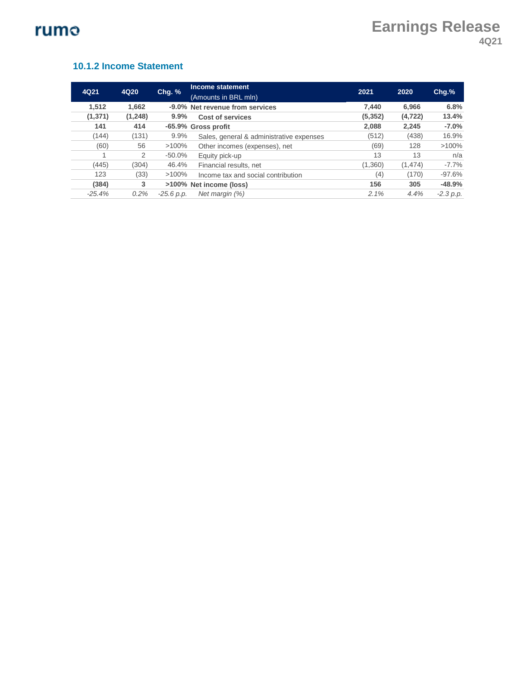#### **10.1.2 Income Statement**

| 4Q20<br>4Q21 |          | Chg. %       | Income statement                         |          | 2020     | $Chg.$ %    |
|--------------|----------|--------------|------------------------------------------|----------|----------|-------------|
|              |          |              | (Amounts in BRL mln)                     | 2021     |          |             |
| 1,512        | 1.662    |              | -9.0% Net revenue from services          | 7.440    | 6.966    | 6.8%        |
| (1, 371)     | (1, 248) | 9.9%         | Cost of services                         | (5, 352) | (4, 722) | 13.4%       |
| 141          | 414      |              | -65.9% Gross profit                      | 2.088    | 2,245    | $-7.0%$     |
| (144)        | (131)    | 9.9%         | Sales, general & administrative expenses | (512)    | (438)    | 16.9%       |
| (60)         | 56       | $>100\%$     | Other incomes (expenses), net            | (69)     | 128      | $>100\%$    |
|              | 2        | $-50.0%$     | Equity pick-up                           | 13       | 13       | n/a         |
| (445)        | (304)    | 46.4%        | Financial results, net                   | (1,360)  | (1, 474) | $-7.7%$     |
| 123          | (33)     | $>100\%$     | Income tax and social contribution       | (4)      | (170)    | $-97.6%$    |
| (384)        | 3        |              | >100% Net income (loss)                  | 156      | 305      | $-48.9%$    |
| $-25.4%$     | 0.2%     | $-25.6 p.p.$ | Net margin (%)                           | 2.1%     | 4.4%     | $-2.3 p.p.$ |